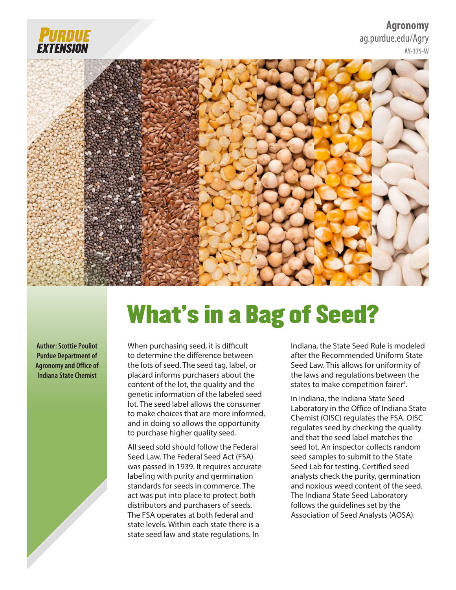

#### **Agronomy** [ag.purdue.edu/Agry](https://ag.purdue.edu/agry/Pages/default.aspx) **AY-375-W**



# What's in a Bag of Seed?

**Author: Scottie Pouliot Purdue Department of Agronomy and Office of Indiana State Chemist**

When purchasing seed, it is difficult to determine the difference between the lots of seed. The seed tag, label, or placard informs purchasers about the content of the lot, the quality and the genetic information of the labeled seed lot. The seed label allows the consumer to make choices that are more informed, and in doing so allows the opportunity to purchase higher quality seed.

All seed sold should follow the Federal Seed Law. The Federal Seed Act (FSA) was passed in 1939. It requires accurate labeling with purity and germination standards for seeds in commerce. The act was put into place to protect both distributors and purchasers of seeds. The FSA operates at both federal and state levels. Within each state there is a state seed law and state regulations. In

Indiana, the State Seed Rule is modeled after the Recommended Uniform State Seed Law. This allows for uniformity of the laws and regulations between the states to make competition fairer<sup>4</sup>.

In Indiana, the Indiana State Seed Laboratory in the Office of Indiana State Chemist (OISC) regulates the FSA. OISC regulates seed by checking the quality and that the seed label matches the seed lot. An inspector collects random seed samples to submit to the State Seed Lab for testing. Certified seed analysts check the purity, germination and noxious weed content of the seed. The Indiana State Seed Laboratory follows the guidelines set by the Association of Seed Analysts (AOSA).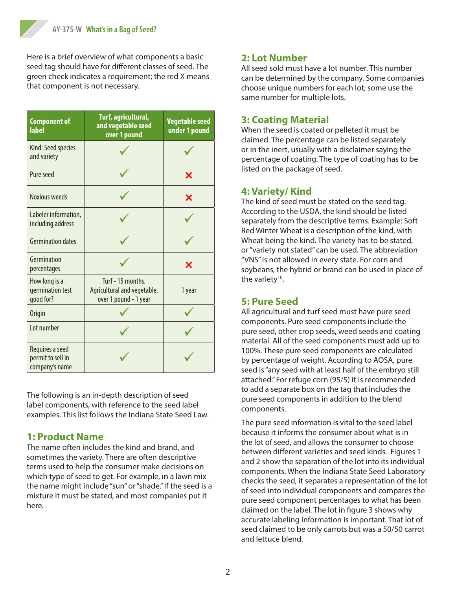Here is a brief overview of what components a basic seed tag should have for different classes of seed. The green check indicates a requirement; the red X means that component is not necessary.

| <b>Component of</b><br><b>label</b>                    | Turf, agricultural,<br>and vegetable seed<br>over 1 pound                 | <b>Vegetable seed</b><br>under 1 pound |
|--------------------------------------------------------|---------------------------------------------------------------------------|----------------------------------------|
| Kind: Seed species<br>and variety                      |                                                                           |                                        |
| Pure seed                                              |                                                                           | Х                                      |
| Noxious weeds                                          |                                                                           | Х                                      |
| Labeler information,<br>including address              |                                                                           |                                        |
| <b>Germination dates</b>                               |                                                                           |                                        |
| Germination<br>percentages                             |                                                                           | Х                                      |
| How long is a<br>germination test<br>good for?         | Turf - 15 months.<br>Agricultural and vegetable,<br>over 1 pound - 1 year | 1 year                                 |
| <b>Origin</b>                                          |                                                                           |                                        |
| Lot number                                             |                                                                           |                                        |
| Requires a seed<br>permit to sell in<br>company's name |                                                                           |                                        |

The following is an in-depth description of seed label components, with reference to the seed label examples. This list follows the Indiana State Seed Law.

# **1: Product Name**

The name often includes the kind and brand, and sometimes the variety. There are often descriptive terms used to help the consumer make decisions on which type of seed to get. For example, in a lawn mix the name might include "sun" or "shade." If the seed is a mixture it must be stated, and most companies put it here.

# **2: Lot Number**

All seed sold must have a lot number. This number can be determined by the company. Some companies choose unique numbers for each lot; some use the same number for multiple lots.

#### **3: Coating Material**

When the seed is coated or pelleted it must be claimed. The percentage can be listed separately or in the inert, usually with a disclaimer saying the percentage of coating. The type of coating has to be listed on the package of seed.

#### **4: Variety/ Kind**

The kind of seed must be stated on the seed tag. According to the USDA, the kind should be listed separately from the descriptive terms. Example: Soft Red Winter Wheat is a description of the kind, with Wheat being the kind. The variety has to be stated, or "variety not stated" can be used. The abbreviation "VNS" is not allowed in every state. For corn and soybeans, the hybrid or brand can be used in place of the variety<sup>10</sup>.

# **5: Pure Seed**

All agricultural and turf seed must have pure seed components. Pure seed components include the pure seed, other crop seeds, weed seeds and coating material. All of the seed components must add up to 100%. These pure seed components are calculated by percentage of weight. According to AOSA, pure seed is "any seed with at least half of the embryo still attached." For refuge corn (95/5) it is recommended to add a separate box on the tag that includes the pure seed components in addition to the blend components.

The pure seed information is vital to the seed label because it informs the consumer about what is in the lot of seed, and allows the consumer to choose between different varieties and seed kinds. Figures 1 and 2 show the separation of the lot into its individual components. When the Indiana State Seed Laboratory checks the seed, it separates a representation of the lot of seed into individual components and compares the pure seed component percentages to what has been claimed on the label. The lot in figure 3 shows why accurate labeling information is important. That lot of seed claimed to be only carrots but was a 50/50 carrot and lettuce blend.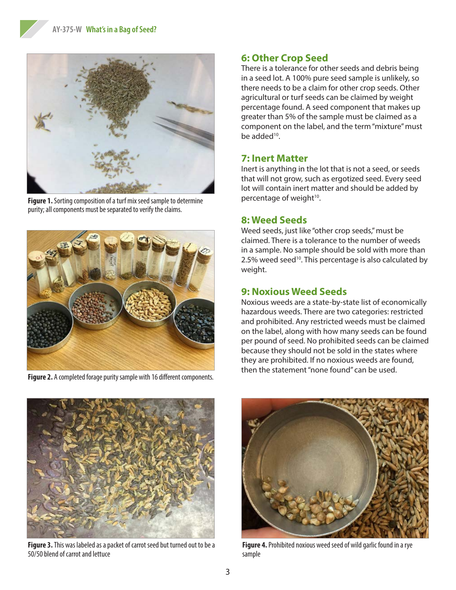

**Figure 1.** Sorting composition of a turf mix seed sample to determine purity; all components must be separated to verify the claims.



**Figure 2.** A completed forage purity sample with 16 different components.

# **6: Other Crop Seed**

There is a tolerance for other seeds and debris being in a seed lot. A 100% pure seed sample is unlikely, so there needs to be a claim for other crop seeds. Other agricultural or turf seeds can be claimed by weight percentage found. A seed component that makes up greater than 5% of the sample must be claimed as a component on the label, and the term "mixture" must be added<sup>10</sup>.

#### **7: Inert Matter**

Inert is anything in the lot that is not a seed, or seeds that will not grow, such as ergotized seed. Every seed lot will contain inert matter and should be added by percentage of weight<sup>10</sup>.

### **8: Weed Seeds**

Weed seeds, just like "other crop seeds," must be claimed. There is a tolerance to the number of weeds in a sample. No sample should be sold with more than 2.5% weed seed<sup>10</sup>. This percentage is also calculated by weight.

# **9: Noxious Weed Seeds**

Noxious weeds are a state-by-state list of economically hazardous weeds. There are two categories: restricted and prohibited. Any restricted weeds must be claimed on the label, along with how many seeds can be found per pound of seed. No prohibited seeds can be claimed because they should not be sold in the states where they are prohibited. If no noxious weeds are found, then the statement "none found" can be used.



**Figure 3.** This was labeled as a packet of carrot seed but turned out to be a 50/50 blend of carrot and lettuce



**Figure 4.** Prohibited noxious weed seed of wild garlic found in a rye sample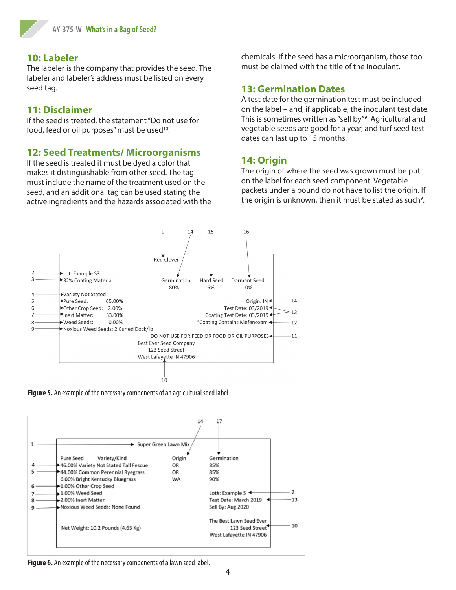#### **10: Labeler**

The labeler is the company that provides the seed. The labeler and labeler's address must be listed on every seed tag.

## **11: Disclaimer**

If the seed is treated, the statement "Do not use for food, feed or oil purposes" must be used<sup>10</sup>.

# **12: Seed Treatments/ Microorganisms**

If the seed is treated it must be dyed a color that makes it distinguishable from other seed. The tag must include the name of the treatment used on the seed, and an additional tag can be used stating the active ingredients and the hazards associated with the chemicals. If the seed has a microorganism, those too must be claimed with the title of the inoculant.

#### **13: Germination Dates**

A test date for the germination test must be included on the label – and, if applicable, the inoculant test date. This is sometimes written as "sell by"<sup>9</sup>. Agricultural and vegetable seeds are good for a year, and turf seed test dates can last up to 15 months.

### **14: Origin**

The origin of where the seed was grown must be put on the label for each seed component. Vegetable packets under a pound do not have to list the origin. If the origin is unknown, then it must be stated as such<sup>9</sup>.







**Figure 6.** An example of the necessary components of a lawn seed label.